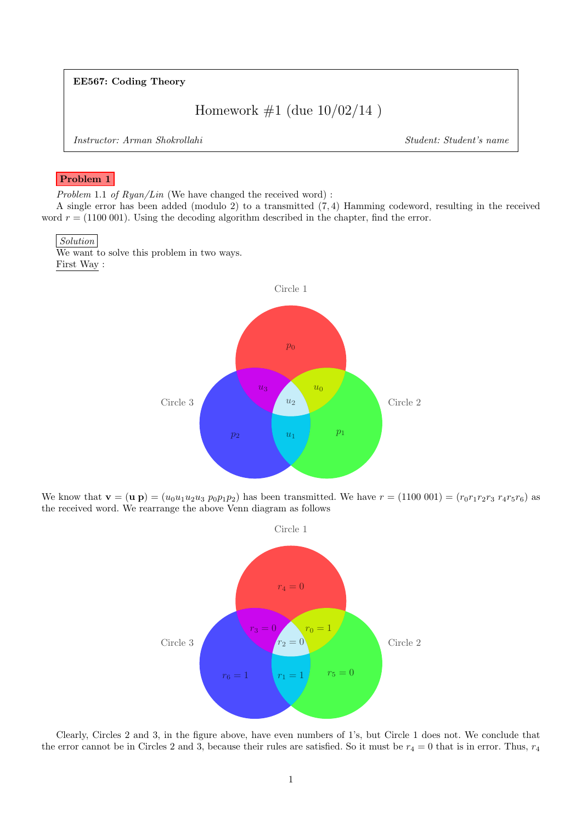EE567: Coding Theory

Homework  $\#1$  (due  $10/02/14$ )

Instructor: Arman Shokrollahi Student: Student's name

## Problem 1

Problem 1.1 of  $Ryan/Lin$  (We have changed the received word) :

A single error has been added (modulo 2) to a transmitted (7, 4) Hamming codeword, resulting in the received word  $r = (1100001)$ . Using the decoding algorithm described in the chapter, find the error.

## Solution

We want to solve this problem in two ways. First Way :



We know that  $\mathbf{v} = (\mathbf{u} \mathbf{p}) = (u_0 u_1 u_2 u_3 p_0 p_1 p_2)$  has been transmitted. We have  $r = (1100\ 001) = (r_0 r_1 r_2 r_3 r_4 r_5 r_6)$  as the received word. We rearrange the above Venn diagram as follows



Clearly, Circles 2 and 3, in the figure above, have even numbers of 1's, but Circle 1 does not. We conclude that the error cannot be in Circles 2 and 3, because their rules are satisfied. So it must be  $r_4 = 0$  that is in error. Thus,  $r_4$